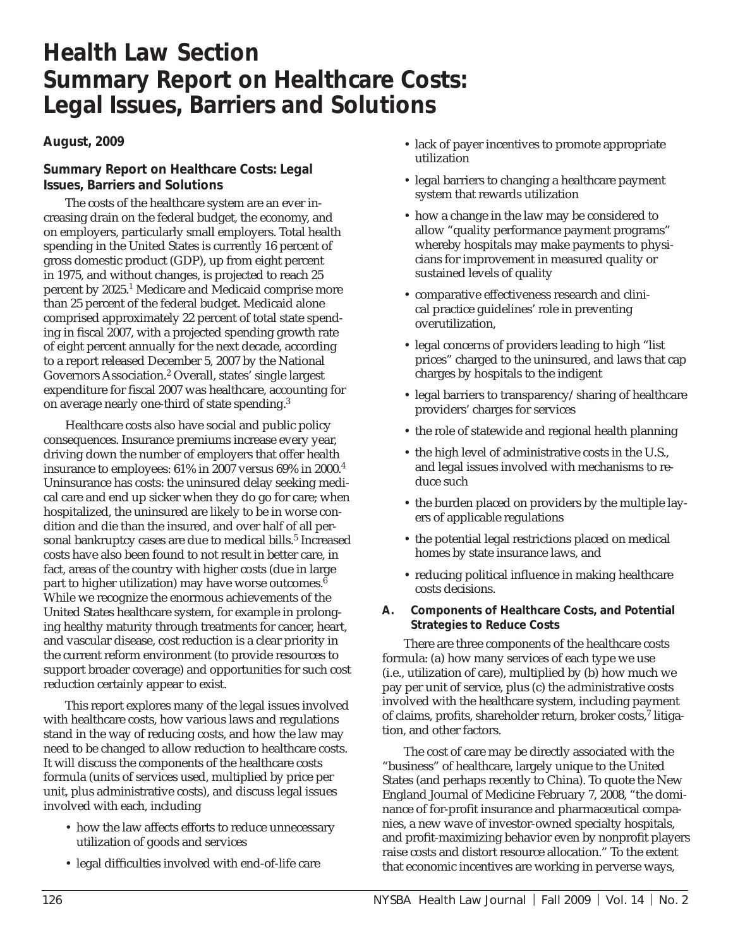# **Health Law Section Summary Report on Healthcare Costs: Legal Issues, Barriers and Solutions**

# **August, 2009**

# **Summary Report on Healthcare Costs: Legal Issues, Barriers and Solutions**

The costs of the healthcare system are an ever increasing drain on the federal budget, the economy, and on employers, particularly small employers. Total health spending in the United States is currently 16 percent of gross domestic product (GDP), up from eight percent in 1975, and without changes, is projected to reach 25 percent by 2025.1 Medicare and Medicaid comprise more than 25 percent of the federal budget. Medicaid alone comprised approximately 22 percent of total state spending in fiscal 2007, with a projected spending growth rate of eight percent annually for the next decade, according to a report released December 5, 2007 by the National Governors Association.2 Overall, states' single largest expenditure for fiscal 2007 was healthcare, accounting for on average nearly one-third of state spending.<sup>3</sup>

Healthcare costs also have social and public policy consequences. Insurance premiums increase every year, driving down the number of employers that offer health insurance to employees: 61% in 2007 versus 69% in 2000.4 Uninsurance has costs: the uninsured delay seeking medical care and end up sicker when they do go for care; when hospitalized, the uninsured are likely to be in worse condition and die than the insured, and over half of all personal bankruptcy cases are due to medical bills.<sup>5</sup> Increased costs have also been found to not result in better care, in fact, areas of the country with higher costs (due in large part to higher utilization) may have worse outcomes.<sup>6</sup> While we recognize the enormous achievements of the United States healthcare system, for example in prolonging healthy maturity through treatments for cancer, heart, and vascular disease, cost reduction is a clear priority in the current reform environment (to provide resources to support broader coverage) and opportunities for such cost reduction certainly appear to exist.

This report explores many of the legal issues involved with healthcare costs, how various laws and regulations stand in the way of reducing costs, and how the law may need to be changed to allow reduction to healthcare costs. It will discuss the components of the healthcare costs formula (units of services used, multiplied by price per unit, plus administrative costs), and discuss legal issues involved with each, including

- how the law affects efforts to reduce unnecessary utilization of goods and services
- legal difficulties involved with end-of-life care
- lack of payer incentives to promote appropriate utilization
- legal barriers to changing a healthcare payment system that rewards utilization
- how a change in the law may be considered to allow "quality performance payment programs" whereby hospitals may make payments to physicians for improvement in measured quality or sustained levels of quality
- comparative effectiveness research and clinical practice guidelines' role in preventing overutilization,
- legal concerns of providers leading to high "list prices" charged to the uninsured, and laws that cap charges by hospitals to the indigent
- legal barriers to transparency/sharing of healthcare providers' charges for services
- the role of statewide and regional health planning
- the high level of administrative costs in the U.S., and legal issues involved with mechanisms to reduce such
- the burden placed on providers by the multiple layers of applicable regulations
- the potential legal restrictions placed on medical homes by state insurance laws, and
- reducing political influence in making healthcare costs decisions.
- **A. Components of Healthcare Costs, and Potential Strategies to Reduce Costs**

There are three components of the healthcare costs formula: (a) how many services of each type we use (i.e., utilization of care), multiplied by (b) how much we pay per unit of service, plus (c) the administrative costs involved with the healthcare system, including payment of claims, profits, shareholder return, broker costs,<sup>7</sup> litigation, and other factors.

The cost of care may be directly associated with the "business" of healthcare, largely unique to the United States (and perhaps recently to China). To quote the New England Journal of Medicine February 7, 2008, "the dominance of for-profit insurance and pharmaceutical companies, a new wave of investor-owned specialty hospitals, and profit-maximizing behavior even by nonprofit players raise costs and distort resource allocation." To the extent that economic incentives are working in perverse ways,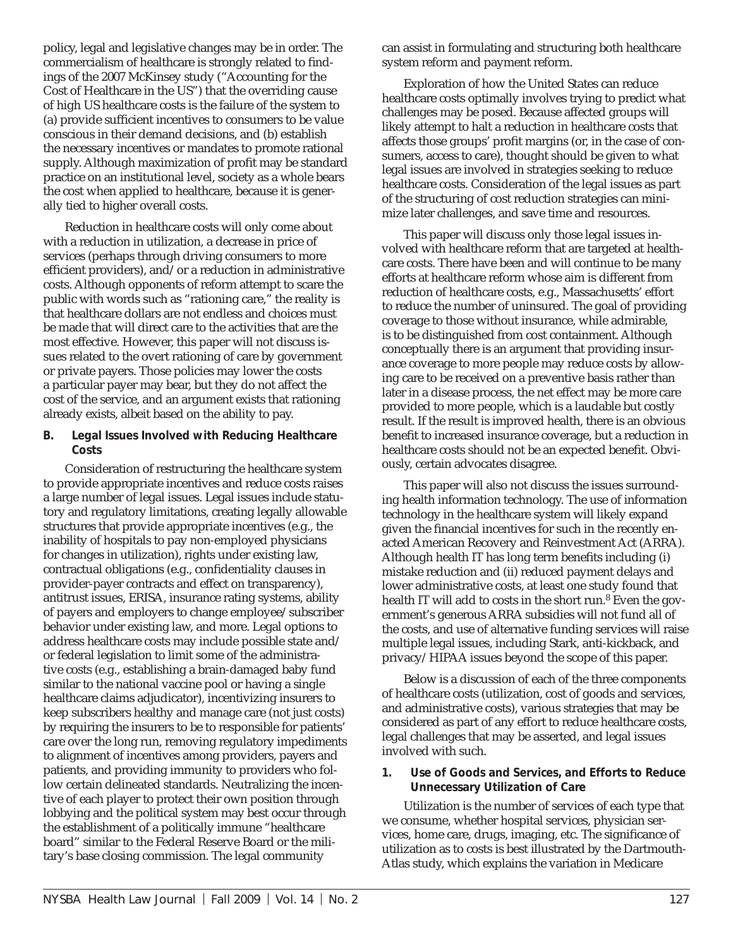policy, legal and legislative changes may be in order. The commercialism of healthcare is strongly related to findings of the 2007 McKinsey study ("Accounting for the Cost of Healthcare in the US") that the overriding cause of high US healthcare costs is the failure of the system to (a) provide sufficient incentives to consumers to be value conscious in their demand decisions, and (b) establish the necessary incentives or mandates to promote rational supply. Although maximization of profit may be standard practice on an institutional level, society as a whole bears the cost when applied to healthcare, because it is generally tied to higher overall costs.

Reduction in healthcare costs will only come about with a reduction in utilization, a decrease in price of services (perhaps through driving consumers to more efficient providers), and/or a reduction in administrative costs. Although opponents of reform attempt to scare the public with words such as "rationing care," the reality is that healthcare dollars are not endless and choices must be made that will direct care to the activities that are the most effective. However, this paper will not discuss issues related to the overt rationing of care by government or private payers. Those policies may lower the costs a particular payer may bear, but they do not affect the cost of the service, and an argument exists that rationing already exists, albeit based on the ability to pay.

#### **B. Legal Issues Involved with Reducing Healthcare Costs**

Consideration of restructuring the healthcare system to provide appropriate incentives and reduce costs raises a large number of legal issues. Legal issues include statutory and regulatory limitations, creating legally allowable structures that provide appropriate incentives (e.g., the inability of hospitals to pay non-employed physicians for changes in utilization), rights under existing law, contractual obligations (e.g., confidentiality clauses in provider-payer contracts and effect on transparency), antitrust issues, ERISA, insurance rating systems, ability of payers and employers to change employee/subscriber behavior under existing law, and more. Legal options to address healthcare costs may include possible state and/ or federal legislation to limit some of the administrative costs (e.g., establishing a brain-damaged baby fund similar to the national vaccine pool or having a single healthcare claims adjudicator), incentivizing insurers to keep subscribers healthy and manage care (not just costs) by requiring the insurers to be to responsible for patients' care over the long run, removing regulatory impediments to alignment of incentives among providers, payers and patients, and providing immunity to providers who follow certain delineated standards. Neutralizing the incentive of each player to protect their own position through lobbying and the political system may best occur through the establishment of a politically immune "healthcare board" similar to the Federal Reserve Board or the military's base closing commission. The legal community

can assist in formulating and structuring both healthcare system reform and payment reform.

Exploration of how the United States can reduce healthcare costs optimally involves trying to predict what challenges may be posed. Because affected groups will likely attempt to halt a reduction in healthcare costs that affects those groups' profit margins (or, in the case of consumers, access to care), thought should be given to what legal issues are involved in strategies seeking to reduce healthcare costs. Consideration of the legal issues as part of the structuring of cost reduction strategies can minimize later challenges, and save time and resources.

This paper will discuss only those legal issues involved with healthcare reform that are targeted at healthcare costs. There have been and will continue to be many efforts at healthcare reform whose aim is different from reduction of healthcare costs, e.g., Massachusetts' effort to reduce the number of uninsured. The goal of providing coverage to those without insurance, while admirable, is to be distinguished from cost containment. Although conceptually there is an argument that providing insurance coverage to more people may reduce costs by allowing care to be received on a preventive basis rather than later in a disease process, the net effect may be more care provided to more people, which is a laudable but costly result. If the result is improved health, there is an obvious benefit to increased insurance coverage, but a reduction in healthcare costs should not be an expected benefit. Obviously, certain advocates disagree.

This paper will also not discuss the issues surrounding health information technology. The use of information technology in the healthcare system will likely expand given the financial incentives for such in the recently enacted American Recovery and Reinvestment Act (ARRA). Although health IT has long term benefits including (i) mistake reduction and (ii) reduced payment delays and lower administrative costs, at least one study found that health IT will add to costs in the short run.<sup>8</sup> Even the government's generous ARRA subsidies will not fund all of the costs, and use of alternative funding services will raise multiple legal issues, including Stark, anti-kickback, and privacy/HIPAA issues beyond the scope of this paper.

Below is a discussion of each of the three components of healthcare costs (utilization, cost of goods and services, and administrative costs), various strategies that may be considered as part of any effort to reduce healthcare costs, legal challenges that may be asserted, and legal issues involved with such.

## **1. Use of Goods and Services, and Efforts to Reduce Unnecessary Utilization of Care**

Utilization is the number of services of each type that we consume, whether hospital services, physician services, home care, drugs, imaging, etc. The significance of utilization as to costs is best illustrated by the Dartmouth-Atlas study, which explains the variation in Medicare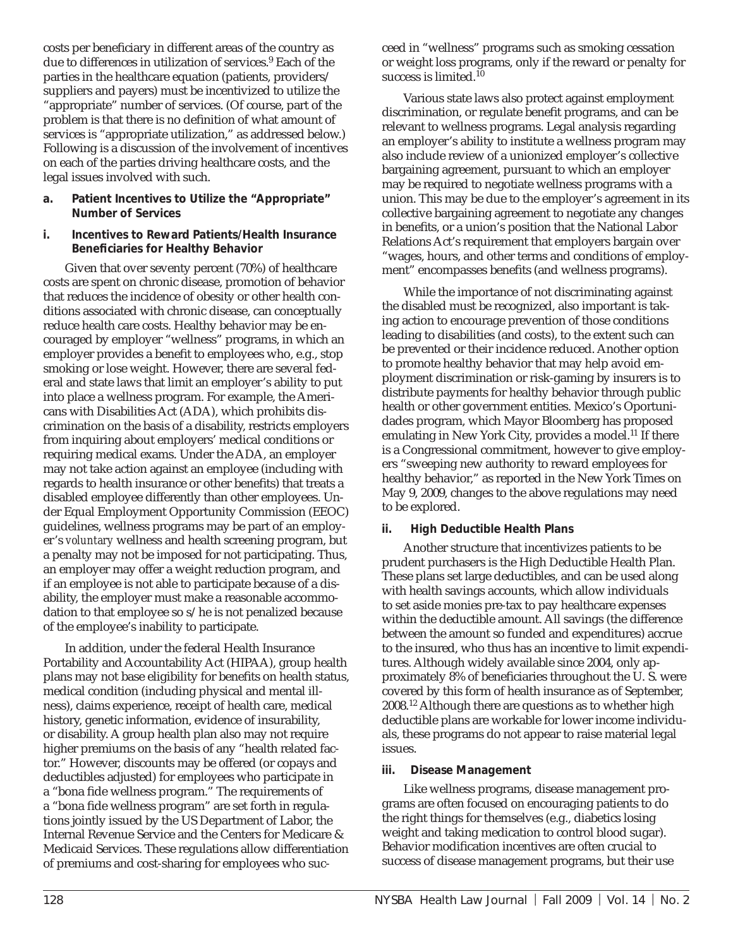costs per beneficiary in different areas of the country as due to differences in utilization of services.9 Each of the parties in the healthcare equation (patients, providers/ suppliers and payers) must be incentivized to utilize the "appropriate" number of services. (Of course, part of the problem is that there is no definition of what amount of services is "appropriate utilization," as addressed below.) Following is a discussion of the involvement of incentives on each of the parties driving healthcare costs, and the legal issues involved with such.

- **a. Patient Incentives to Utilize the "Appropriate" Number of Services**
- **i. Incentives to Reward Patients/Health Insurance Beneficiaries for Healthy Behavior**

Given that over seventy percent (70%) of healthcare costs are spent on chronic disease, promotion of behavior that reduces the incidence of obesity or other health conditions associated with chronic disease, can conceptually reduce health care costs. Healthy behavior may be encouraged by employer "wellness" programs, in which an employer provides a benefit to employees who, e.g., stop smoking or lose weight. However, there are several federal and state laws that limit an employer's ability to put into place a wellness program. For example, the Americans with Disabilities Act (ADA), which prohibits discrimination on the basis of a disability, restricts employers from inquiring about employers' medical conditions or requiring medical exams. Under the ADA, an employer may not take action against an employee (including with regards to health insurance or other benefits) that treats a disabled employee differently than other employees. Under Equal Employment Opportunity Commission (EEOC) guidelines, wellness programs may be part of an employer's *voluntary* wellness and health screening program, but a penalty may not be imposed for not participating. Thus, an employer may offer a weight reduction program, and if an employee is not able to participate because of a disability, the employer must make a reasonable accommodation to that employee so s/he is not penalized because of the employee's inability to participate.

In addition, under the federal Health Insurance Portability and Accountability Act (HIPAA), group health plans may not base eligibility for benefits on health status, medical condition (including physical and mental illness), claims experience, receipt of health care, medical history, genetic information, evidence of insurability, or disability. A group health plan also may not require higher premiums on the basis of any "health related factor." However, discounts may be offered (or copays and deductibles adjusted) for employees who participate in a "bona fide wellness program." The requirements of a "bona fide wellness program" are set forth in regulations jointly issued by the US Department of Labor, the Internal Revenue Service and the Centers for Medicare & Medicaid Services. These regulations allow differentiation of premiums and cost-sharing for employees who succeed in "wellness" programs such as smoking cessation or weight loss programs, only if the reward or penalty for success is limited.10

Various state laws also protect against employment discrimination, or regulate benefit programs, and can be relevant to wellness programs. Legal analysis regarding an employer's ability to institute a wellness program may also include review of a unionized employer's collective bargaining agreement, pursuant to which an employer may be required to negotiate wellness programs with a union. This may be due to the employer's agreement in its collective bargaining agreement to negotiate any changes in benefits, or a union's position that the National Labor Relations Act's requirement that employers bargain over "wages, hours, and other terms and conditions of employment" encompasses benefits (and wellness programs).

While the importance of not discriminating against the disabled must be recognized, also important is taking action to encourage prevention of those conditions leading to disabilities (and costs), to the extent such can be prevented or their incidence reduced. Another option to promote healthy behavior that may help avoid employment discrimination or risk-gaming by insurers is to distribute payments for healthy behavior through public health or other government entities. Mexico's Oportunidades program, which Mayor Bloomberg has proposed emulating in New York City, provides a model.<sup>11</sup> If there is a Congressional commitment, however to give employers "sweeping new authority to reward employees for healthy behavior," as reported in the New York Times on May 9, 2009, changes to the above regulations may need to be explored.

# **ii. High Deductible Health Plans**

Another structure that incentivizes patients to be prudent purchasers is the High Deductible Health Plan. These plans set large deductibles, and can be used along with health savings accounts, which allow individuals to set aside monies pre-tax to pay healthcare expenses within the deductible amount. All savings (the difference between the amount so funded and expenditures) accrue to the insured, who thus has an incentive to limit expenditures. Although widely available since 2004, only approximately 8% of beneficiaries throughout the U.S. were covered by this form of health insurance as of September, 2008.12 Although there are questions as to whether high deductible plans are workable for lower income individuals, these programs do not appear to raise material legal issues.

## **iii. Disease Management**

Like wellness programs, disease management programs are often focused on encouraging patients to do the right things for themselves (e.g., diabetics losing weight and taking medication to control blood sugar). Behavior modification incentives are often crucial to success of disease management programs, but their use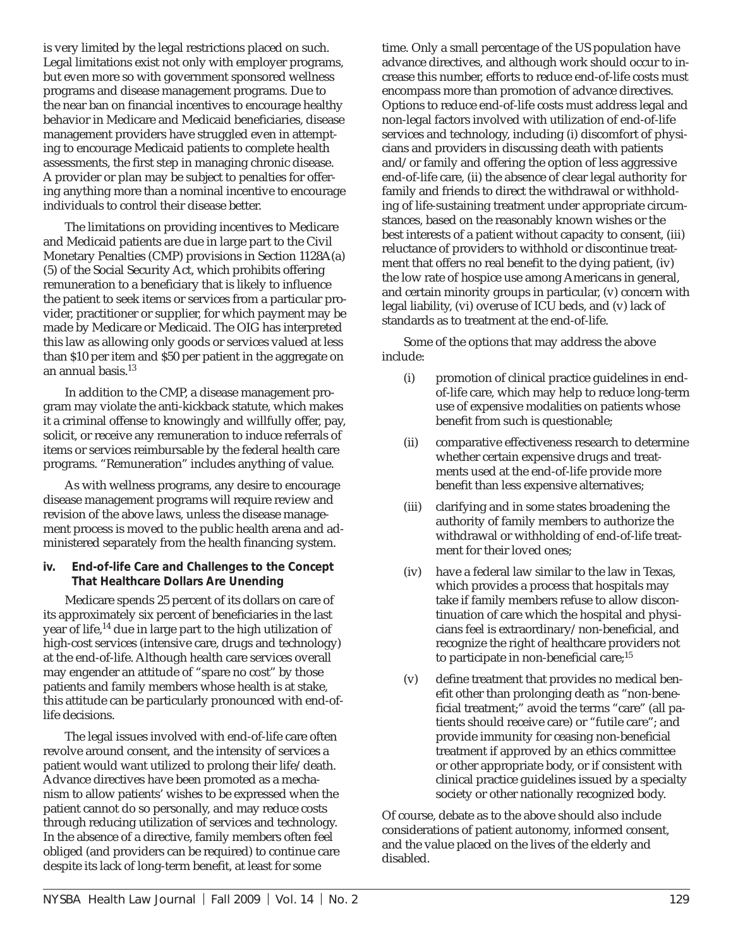is very limited by the legal restrictions placed on such. Legal limitations exist not only with employer programs, but even more so with government sponsored wellness programs and disease management programs. Due to the near ban on financial incentives to encourage healthy behavior in Medicare and Medicaid beneficiaries, disease management providers have struggled even in attempting to encourage Medicaid patients to complete health assessments, the first step in managing chronic disease. A provider or plan may be subject to penalties for offering anything more than a nominal incentive to encourage individuals to control their disease better.

The limitations on providing incentives to Medicare and Medicaid patients are due in large part to the Civil Monetary Penalties (CMP) provisions in Section 1128A(a) (5) of the Social Security Act, which prohibits offering remuneration to a beneficiary that is likely to influence the patient to seek items or services from a particular provider, practitioner or supplier, for which payment may be made by Medicare or Medicaid. The OIG has interpreted this law as allowing only goods or services valued at less than \$10 per item and \$50 per patient in the aggregate on an annual basis.13

In addition to the CMP, a disease management program may violate the anti-kickback statute, which makes it a criminal offense to knowingly and willfully offer, pay, solicit, or receive any remuneration to induce referrals of items or services reimbursable by the federal health care programs. "Remuneration" includes anything of value.

As with wellness programs, any desire to encourage disease management programs will require review and revision of the above laws, unless the disease management process is moved to the public health arena and administered separately from the health financing system.

## **iv. End-of-life Care and Challenges to the Concept That Healthcare Dollars Are Unending**

Medicare spends 25 percent of its dollars on care of its approximately six percent of beneficiaries in the last year of life,14 due in large part to the high utilization of high-cost services (intensive care, drugs and technology) at the end-of-life. Although health care services overall may engender an attitude of "spare no cost" by those patients and family members whose health is at stake, this attitude can be particularly pronounced with end-oflife decisions.

The legal issues involved with end-of-life care often revolve around consent, and the intensity of services a patient would want utilized to prolong their life/death. Advance directives have been promoted as a mechanism to allow patients' wishes to be expressed when the patient cannot do so personally, and may reduce costs through reducing utilization of services and technology. In the absence of a directive, family members often feel obliged (and providers can be required) to continue care despite its lack of long-term benefit, at least for some

time. Only a small percentage of the US population have advance directives, and although work should occur to increase this number, efforts to reduce end-of-life costs must encompass more than promotion of advance directives. Options to reduce end-of-life costs must address legal and non-legal factors involved with utilization of end-of-life services and technology, including (i) discomfort of physicians and providers in discussing death with patients and/or family and offering the option of less aggressive end-of-life care, (ii) the absence of clear legal authority for family and friends to direct the withdrawal or withholding of life-sustaining treatment under appropriate circumstances, based on the reasonably known wishes or the best interests of a patient without capacity to consent, (iii) reluctance of providers to withhold or discontinue treatment that offers no real benefit to the dying patient, (iv) the low rate of hospice use among Americans in general, and certain minority groups in particular, (v) concern with legal liability, (vi) overuse of ICU beds, and (v) lack of standards as to treatment at the end-of-life.

Some of the options that may address the above include:

- (i) promotion of clinical practice guidelines in endof-life care, which may help to reduce long-term use of expensive modalities on patients whose benefit from such is questionable;
- (ii) comparative effectiveness research to determine whether certain expensive drugs and treatments used at the end-of-life provide more benefit than less expensive alternatives;
- (iii) clarifying and in some states broadening the authority of family members to authorize the withdrawal or withholding of end-of-life treatment for their loved ones;
- (iv) have a federal law similar to the law in Texas, which provides a process that hospitals may take if family members refuse to allow discontinuation of care which the hospital and physicians feel is extraordinary/non-beneficial, and recognize the right of healthcare providers not to participate in non-beneficial care;<sup>15</sup>
- (v) define treatment that provides no medical benefit other than prolonging death as "non-beneficial treatment;" avoid the terms "care" (all patients should receive care) or "futile care"; and provide immunity for ceasing non-beneficial treatment if approved by an ethics committee or other appropriate body, or if consistent with clinical practice guidelines issued by a specialty society or other nationally recognized body.

Of course, debate as to the above should also include considerations of patient autonomy, informed consent, and the value placed on the lives of the elderly and disabled.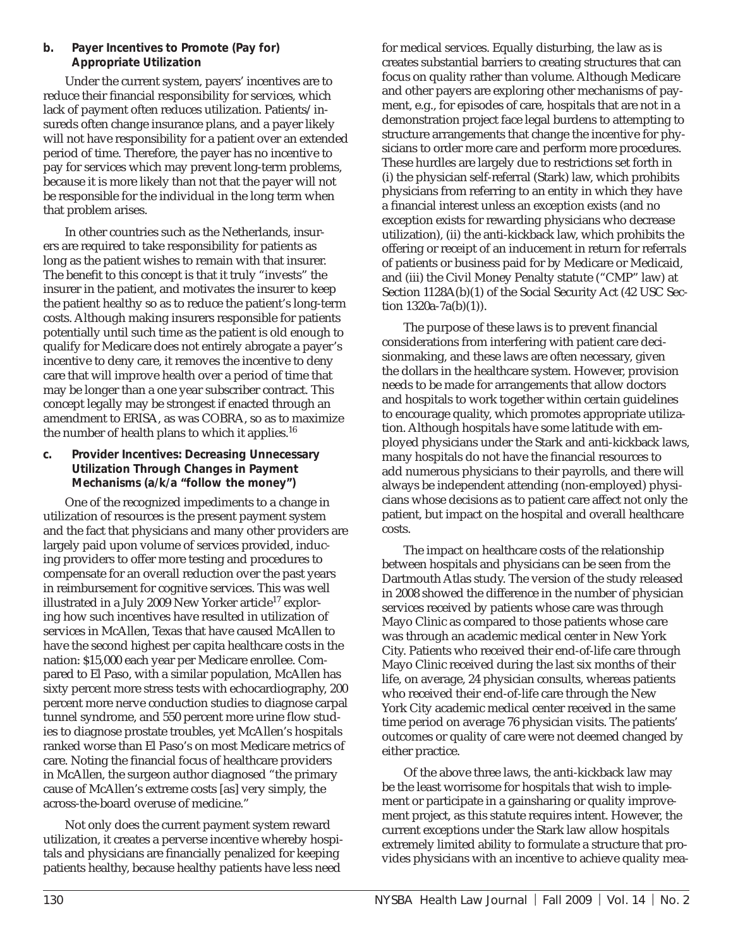## **b. Payer Incentives to Promote (Pay for) Appropriate Utilization**

Under the current system, payers' incentives are to reduce their financial responsibility for services, which lack of payment often reduces utilization. Patients/insureds often change insurance plans, and a payer likely will not have responsibility for a patient over an extended period of time. Therefore, the payer has no incentive to pay for services which may prevent long-term problems, because it is more likely than not that the payer will not be responsible for the individual in the long term when that problem arises.

In other countries such as the Netherlands, insurers are required to take responsibility for patients as long as the patient wishes to remain with that insurer. The benefit to this concept is that it truly "invests" the insurer in the patient, and motivates the insurer to keep the patient healthy so as to reduce the patient's long-term costs. Although making insurers responsible for patients potentially until such time as the patient is old enough to qualify for Medicare does not entirely abrogate a payer's incentive to deny care, it removes the incentive to deny care that will improve health over a period of time that may be longer than a one year subscriber contract. This concept legally may be strongest if enacted through an amendment to ERISA, as was COBRA, so as to maximize the number of health plans to which it applies.<sup>16</sup>

#### **c. Provider Incentives: Decreasing Unnecessary Utilization Through Changes in Payment Mechanisms (a/k/a "follow the money")**

One of the recognized impediments to a change in utilization of resources is the present payment system and the fact that physicians and many other providers are largely paid upon volume of services provided, inducing providers to offer more testing and procedures to compensate for an overall reduction over the past years in reimbursement for cognitive services. This was well illustrated in a July 2009 New Yorker article<sup>17</sup> exploring how such incentives have resulted in utilization of services in McAllen, Texas that have caused McAllen to have the second highest per capita healthcare costs in the nation: \$15,000 each year per Medicare enrollee. Compared to El Paso, with a similar population, McAllen has sixty percent more stress tests with echocardiography, 200 percent more nerve conduction studies to diagnose carpal tunnel syndrome, and 550 percent more urine flow studies to diagnose prostate troubles, yet McAllen's hospitals ranked worse than El Paso's on most Medicare metrics of care. Noting the financial focus of healthcare providers in McAllen, the surgeon author diagnosed "the primary cause of McAllen's extreme costs [as] very simply, the across-the-board overuse of medicine."

Not only does the current payment system reward utilization, it creates a perverse incentive whereby hospitals and physicians are financially penalized for keeping patients healthy, because healthy patients have less need

for medical services. Equally disturbing, the law as is creates substantial barriers to creating structures that can focus on quality rather than volume. Although Medicare and other payers are exploring other mechanisms of payment, e.g., for episodes of care, hospitals that are not in a demonstration project face legal burdens to attempting to structure arrangements that change the incentive for physicians to order more care and perform more procedures. These hurdles are largely due to restrictions set forth in (i) the physician self-referral (Stark) law, which prohibits physicians from referring to an entity in which they have a financial interest unless an exception exists (and no exception exists for rewarding physicians who decrease utilization), (ii) the anti-kickback law, which prohibits the offering or receipt of an inducement in return for referrals of patients or business paid for by Medicare or Medicaid, and (iii) the Civil Money Penalty statute ("CMP" law) at Section 1128A(b)(1) of the Social Security Act (42 USC Section  $1320a-7a(b)(1)$ ).

The purpose of these laws is to prevent financial considerations from interfering with patient care decisionmaking, and these laws are often necessary, given the dollars in the healthcare system. However, provision needs to be made for arrangements that allow doctors and hospitals to work together within certain guidelines to encourage quality, which promotes appropriate utilization. Although hospitals have some latitude with employed physicians under the Stark and anti-kickback laws, many hospitals do not have the financial resources to add numerous physicians to their payrolls, and there will always be independent attending (non-employed) physicians whose decisions as to patient care affect not only the patient, but impact on the hospital and overall healthcare costs.

The impact on healthcare costs of the relationship between hospitals and physicians can be seen from the Dartmouth Atlas study. The version of the study released in 2008 showed the difference in the number of physician services received by patients whose care was through Mayo Clinic as compared to those patients whose care was through an academic medical center in New York City. Patients who received their end-of-life care through Mayo Clinic received during the last six months of their life, on average, 24 physician consults, whereas patients who received their end-of-life care through the New York City academic medical center received in the same time period on average 76 physician visits. The patients' outcomes or quality of care were not deemed changed by either practice.

Of the above three laws, the anti-kickback law may be the least worrisome for hospitals that wish to implement or participate in a gainsharing or quality improvement project, as this statute requires intent. However, the current exceptions under the Stark law allow hospitals extremely limited ability to formulate a structure that provides physicians with an incentive to achieve quality mea-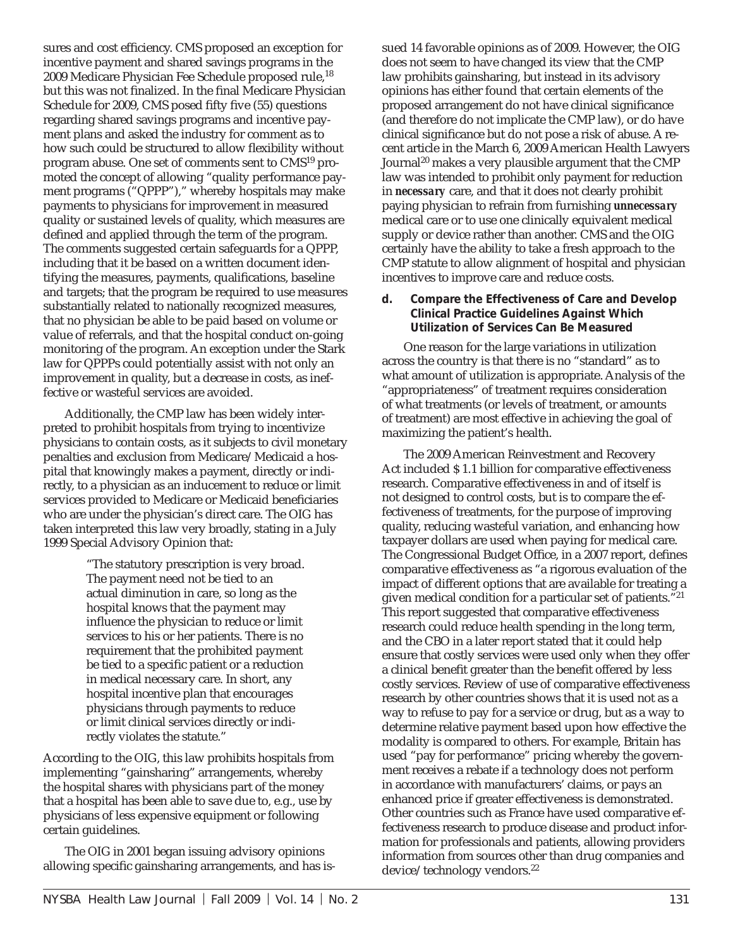sures and cost efficiency. CMS proposed an exception for incentive payment and shared savings programs in the 2009 Medicare Physician Fee Schedule proposed rule,18 but this was not finalized. In the final Medicare Physician Schedule for 2009, CMS posed fifty five (55) questions regarding shared savings programs and incentive payment plans and asked the industry for comment as to how such could be structured to allow flexibility without program abuse. One set of comments sent to CMS19 promoted the concept of allowing "quality performance payment programs ("QPPP")," whereby hospitals may make payments to physicians for improvement in measured quality or sustained levels of quality, which measures are defined and applied through the term of the program. The comments suggested certain safeguards for a QPPP, including that it be based on a written document identifying the measures, payments, qualifications, baseline and targets; that the program be required to use measures substantially related to nationally recognized measures, that no physician be able to be paid based on volume or value of referrals, and that the hospital conduct on-going monitoring of the program. An exception under the Stark law for QPPPs could potentially assist with not only an improvement in quality, but a decrease in costs, as ineffective or wasteful services are avoided.

Additionally, the CMP law has been widely interpreted to prohibit hospitals from trying to incentivize physicians to contain costs, as it subjects to civil monetary penalties and exclusion from Medicare/Medicaid a hospital that knowingly makes a payment, directly or indirectly, to a physician as an inducement to reduce or limit services provided to Medicare or Medicaid beneficiaries who are under the physician's direct care. The OIG has taken interpreted this law very broadly, stating in a July 1999 Special Advisory Opinion that:

> "The statutory prescription is very broad. The payment need not be tied to an actual diminution in care, so long as the hospital knows that the payment may influence the physician to reduce or limit services to his or her patients. There is no requirement that the prohibited payment be tied to a specific patient or a reduction in medical necessary care. In short, any hospital incentive plan that encourages physicians through payments to reduce or limit clinical services directly or indirectly violates the statute."

According to the OIG, this law prohibits hospitals from implementing "gainsharing" arrangements, whereby the hospital shares with physicians part of the money that a hospital has been able to save due to, e.g., use by physicians of less expensive equipment or following certain guidelines.

The OIG in 2001 began issuing advisory opinions allowing specific gainsharing arrangements, and has issued 14 favorable opinions as of 2009. However, the OIG does not seem to have changed its view that the CMP law prohibits gainsharing, but instead in its advisory opinions has either found that certain elements of the proposed arrangement do not have clinical significance (and therefore do not implicate the CMP law), or do have clinical significance but do not pose a risk of abuse. A recent article in the March 6, 2009 American Health Lawyers Journal20 makes a very plausible argument that the CMP law was intended to prohibit only payment for reduction in *necessary* care, and that it does not clearly prohibit paying physician to refrain from furnishing *unnecessary* medical care or to use one clinically equivalent medical supply or device rather than another. CMS and the OIG certainly have the ability to take a fresh approach to the CMP statute to allow alignment of hospital and physician incentives to improve care and reduce costs.

#### **d. Compare the Effectiveness of Care and Develop Clinical Practice Guidelines Against Which Utilization of Services Can Be Measured**

One reason for the large variations in utilization across the country is that there is no "standard" as to what amount of utilization is appropriate. Analysis of the "appropriateness" of treatment requires consideration of what treatments (or levels of treatment, or amounts of treatment) are most effective in achieving the goal of maximizing the patient's health.

The 2009 American Reinvestment and Recovery Act included \$ 1.1 billion for comparative effectiveness research. Comparative effectiveness in and of itself is not designed to control costs, but is to compare the effectiveness of treatments, for the purpose of improving quality, reducing wasteful variation, and enhancing how taxpayer dollars are used when paying for medical care. The Congressional Budget Office, in a 2007 report, defines comparative effectiveness as "a rigorous evaluation of the impact of different options that are available for treating a given medical condition for a particular set of patients."21 This report suggested that comparative effectiveness research could reduce health spending in the long term, and the CBO in a later report stated that it could help ensure that costly services were used only when they offer a clinical benefit greater than the benefit offered by less costly services. Review of use of comparative effectiveness research by other countries shows that it is used not as a way to refuse to pay for a service or drug, but as a way to determine relative payment based upon how effective the modality is compared to others. For example, Britain has used "pay for performance" pricing whereby the government receives a rebate if a technology does not perform in accordance with manufacturers' claims, or pays an enhanced price if greater effectiveness is demonstrated. Other countries such as France have used comparative effectiveness research to produce disease and product information for professionals and patients, allowing providers information from sources other than drug companies and device/technology vendors.22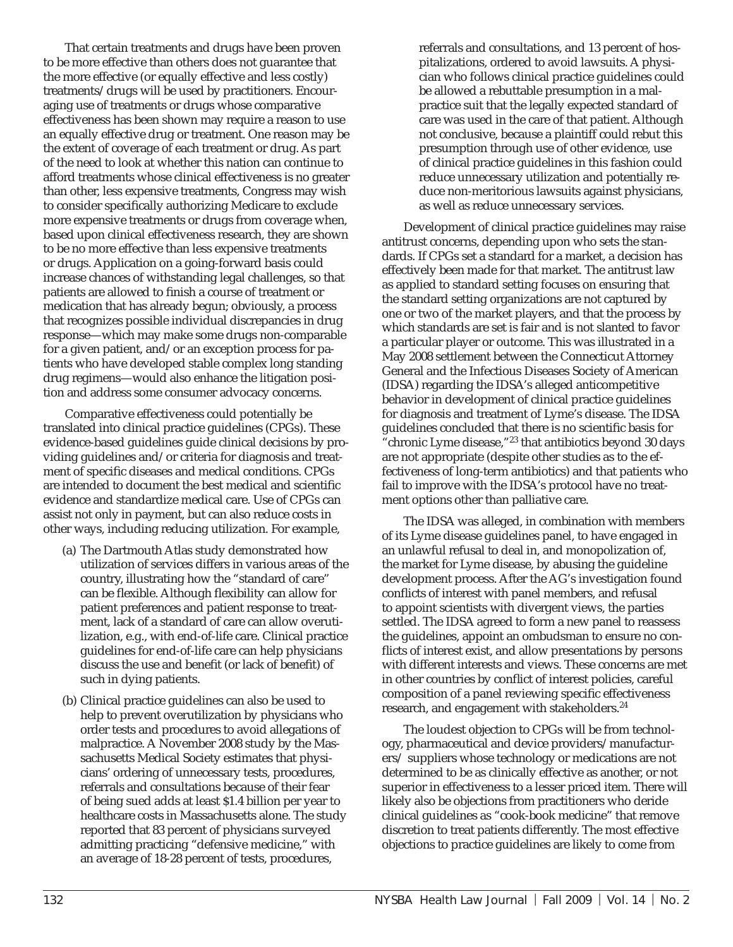That certain treatments and drugs have been proven to be more effective than others does not guarantee that the more effective (or equally effective and less costly) treatments/drugs will be used by practitioners. Encouraging use of treatments or drugs whose comparative effectiveness has been shown may require a reason to use an equally effective drug or treatment. One reason may be the extent of coverage of each treatment or drug. As part of the need to look at whether this nation can continue to afford treatments whose clinical effectiveness is no greater than other, less expensive treatments, Congress may wish to consider specifically authorizing Medicare to exclude more expensive treatments or drugs from coverage when, based upon clinical effectiveness research, they are shown to be no more effective than less expensive treatments or drugs. Application on a going-forward basis could increase chances of withstanding legal challenges, so that patients are allowed to finish a course of treatment or medication that has already begun; obviously, a process that recognizes possible individual discrepancies in drug response—which may make some drugs non-comparable for a given patient, and/or an exception process for patients who have developed stable complex long standing drug regimens—would also enhance the litigation position and address some consumer advocacy concerns.

Comparative effectiveness could potentially be translated into clinical practice guidelines (CPGs). These evidence-based guidelines guide clinical decisions by providing guidelines and/or criteria for diagnosis and treatment of specific diseases and medical conditions. CPGs are intended to document the best medical and scientific evidence and standardize medical care. Use of CPGs can assist not only in payment, but can also reduce costs in other ways, including reducing utilization. For example,

- (a) The Dartmouth Atlas study demonstrated how utilization of services differs in various areas of the country, illustrating how the "standard of care" can be flexible. Although flexibility can allow for patient preferences and patient response to treatment, lack of a standard of care can allow overutilization, e.g., with end-of-life care. Clinical practice guidelines for end-of-life care can help physicians discuss the use and benefit (or lack of benefit) of such in dying patients.
- (b) Clinical practice guidelines can also be used to help to prevent overutilization by physicians who order tests and procedures to avoid allegations of malpractice. A November 2008 study by the Massachusetts Medical Society estimates that physicians' ordering of unnecessary tests, procedures, referrals and consultations because of their fear of being sued adds at least \$1.4 billion per year to healthcare costs in Massachusetts alone. The study reported that 83 percent of physicians surveyed admitting practicing "defensive medicine," with an average of 18-28 percent of tests, procedures,

referrals and consultations, and 13 percent of hospitalizations, ordered to avoid lawsuits. A physician who follows clinical practice guidelines could be allowed a rebuttable presumption in a malpractice suit that the legally expected standard of care was used in the care of that patient. Although not conclusive, because a plaintiff could rebut this presumption through use of other evidence, use of clinical practice guidelines in this fashion could reduce unnecessary utilization and potentially reduce non-meritorious lawsuits against physicians, as well as reduce unnecessary services.

Development of clinical practice guidelines may raise antitrust concerns, depending upon who sets the standards. If CPGs set a standard for a market, a decision has effectively been made for that market. The antitrust law as applied to standard setting focuses on ensuring that the standard setting organizations are not captured by one or two of the market players, and that the process by which standards are set is fair and is not slanted to favor a particular player or outcome. This was illustrated in a May 2008 settlement between the Connecticut Attorney General and the Infectious Diseases Society of American (IDSA) regarding the IDSA's alleged anticompetitive behavior in development of clinical practice guidelines for diagnosis and treatment of Lyme's disease. The IDSA guidelines concluded that there is no scientific basis for "chronic Lyme disease,"23 that antibiotics beyond 30 days are not appropriate (despite other studies as to the effectiveness of long-term antibiotics) and that patients who fail to improve with the IDSA's protocol have no treatment options other than palliative care.

The IDSA was alleged, in combination with members of its Lyme disease guidelines panel, to have engaged in an unlawful refusal to deal in, and monopolization of, the market for Lyme disease, by abusing the guideline development process. After the AG's investigation found conflicts of interest with panel members, and refusal to appoint scientists with divergent views, the parties settled. The IDSA agreed to form a new panel to reassess the guidelines, appoint an ombudsman to ensure no conflicts of interest exist, and allow presentations by persons with different interests and views. These concerns are met in other countries by conflict of interest policies, careful composition of a panel reviewing specific effectiveness research, and engagement with stakeholders.24

The loudest objection to CPGs will be from technology, pharmaceutical and device providers/manufacturers/ suppliers whose technology or medications are not determined to be as clinically effective as another, or not superior in effectiveness to a lesser priced item. There will likely also be objections from practitioners who deride clinical guidelines as "cook-book medicine" that remove discretion to treat patients differently. The most effective objections to practice guidelines are likely to come from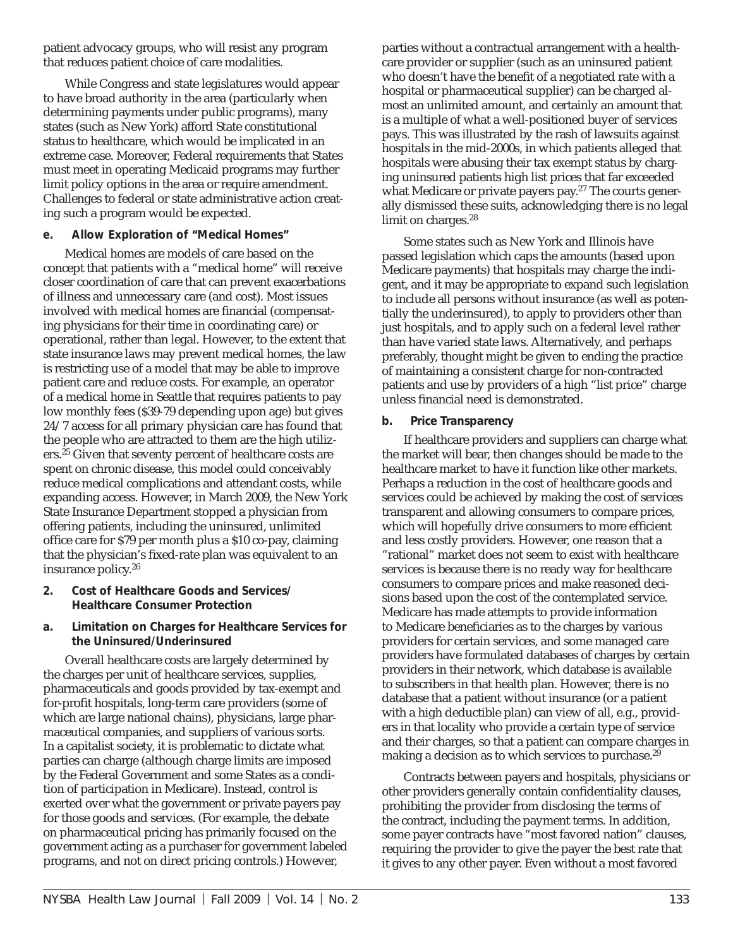patient advocacy groups, who will resist any program that reduces patient choice of care modalities.

While Congress and state legislatures would appear to have broad authority in the area (particularly when determining payments under public programs), many states (such as New York) afford State constitutional status to healthcare, which would be implicated in an extreme case. Moreover, Federal requirements that States must meet in operating Medicaid programs may further limit policy options in the area or require amendment. Challenges to federal or state administrative action creating such a program would be expected.

## **e. Allow Exploration of "Medical Homes"**

Medical homes are models of care based on the concept that patients with a "medical home" will receive closer coordination of care that can prevent exacerbations of illness and unnecessary care (and cost). Most issues involved with medical homes are financial (compensating physicians for their time in coordinating care) or operational, rather than legal. However, to the extent that state insurance laws may prevent medical homes, the law is restricting use of a model that may be able to improve patient care and reduce costs. For example, an operator of a medical home in Seattle that requires patients to pay low monthly fees (\$39-79 depending upon age) but gives 24/7 access for all primary physician care has found that the people who are attracted to them are the high utilizers.<sup>25</sup> Given that seventy percent of healthcare costs are spent on chronic disease, this model could conceivably reduce medical complications and attendant costs, while expanding access. However, in March 2009, the New York State Insurance Department stopped a physician from offering patients, including the uninsured, unlimited office care for \$79 per month plus a \$10 co-pay, claiming that the physician's fixed-rate plan was equivalent to an insurance policy.26

- **2. Cost of Healthcare Goods and Services/ Healthcare Consumer Protection**
- **a. Limitation on Charges for Healthcare Services for the Uninsured/Underinsured**

Overall healthcare costs are largely determined by the charges per unit of healthcare services, supplies, pharmaceuticals and goods provided by tax-exempt and for-profit hospitals, long-term care providers (some of which are large national chains), physicians, large pharmaceutical companies, and suppliers of various sorts. In a capitalist society, it is problematic to dictate what parties can charge (although charge limits are imposed by the Federal Government and some States as a condition of participation in Medicare). Instead, control is exerted over what the government or private payers pay for those goods and services. (For example, the debate on pharmaceutical pricing has primarily focused on the government acting as a purchaser for government labeled programs, and not on direct pricing controls.) However,

parties without a contractual arrangement with a healthcare provider or supplier (such as an uninsured patient who doesn't have the benefit of a negotiated rate with a hospital or pharmaceutical supplier) can be charged almost an unlimited amount, and certainly an amount that is a multiple of what a well-positioned buyer of services pays. This was illustrated by the rash of lawsuits against hospitals in the mid-2000s, in which patients alleged that hospitals were abusing their tax exempt status by charging uninsured patients high list prices that far exceeded what Medicare or private payers pay.27 The courts generally dismissed these suits, acknowledging there is no legal limit on charges.<sup>28</sup>

Some states such as New York and Illinois have passed legislation which caps the amounts (based upon Medicare payments) that hospitals may charge the indigent, and it may be appropriate to expand such legislation to include all persons without insurance (as well as potentially the underinsured), to apply to providers other than just hospitals, and to apply such on a federal level rather than have varied state laws. Alternatively, and perhaps preferably, thought might be given to ending the practice of maintaining a consistent charge for non-contracted patients and use by providers of a high "list price" charge unless financial need is demonstrated.

## **b. Price Transparency**

If healthcare providers and suppliers can charge what the market will bear, then changes should be made to the healthcare market to have it function like other markets. Perhaps a reduction in the cost of healthcare goods and services could be achieved by making the cost of services transparent and allowing consumers to compare prices, which will hopefully drive consumers to more efficient and less costly providers. However, one reason that a "rational" market does not seem to exist with healthcare services is because there is no ready way for healthcare consumers to compare prices and make reasoned decisions based upon the cost of the contemplated service. Medicare has made attempts to provide information to Medicare beneficiaries as to the charges by various providers for certain services, and some managed care providers have formulated databases of charges by certain providers in their network, which database is available to subscribers in that health plan. However, there is no database that a patient without insurance (or a patient with a high deductible plan) can view of all, e.g., providers in that locality who provide a certain type of service and their charges, so that a patient can compare charges in making a decision as to which services to purchase.<sup>29</sup>

Contracts between payers and hospitals, physicians or other providers generally contain confidentiality clauses, prohibiting the provider from disclosing the terms of the contract, including the payment terms. In addition, some payer contracts have "most favored nation" clauses, requiring the provider to give the payer the best rate that it gives to any other payer. Even without a most favored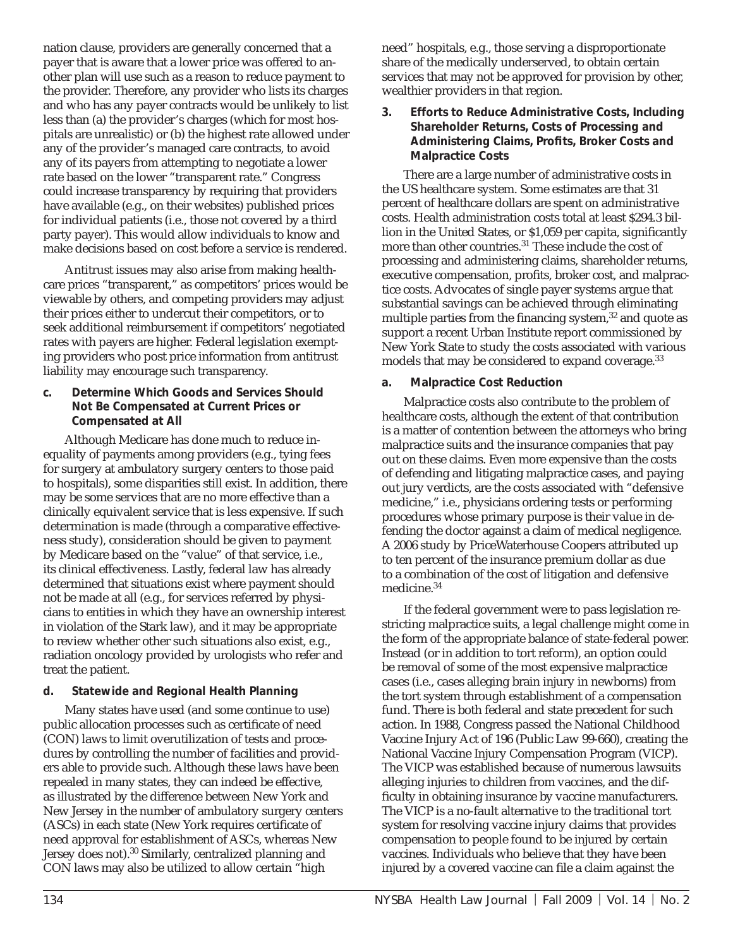nation clause, providers are generally concerned that a payer that is aware that a lower price was offered to another plan will use such as a reason to reduce payment to the provider. Therefore, any provider who lists its charges and who has any payer contracts would be unlikely to list less than (a) the provider's charges (which for most hospitals are unrealistic) or (b) the highest rate allowed under any of the provider's managed care contracts, to avoid any of its payers from attempting to negotiate a lower rate based on the lower "transparent rate." Congress could increase transparency by requiring that providers have available (e.g., on their websites) published prices for individual patients (i.e., those not covered by a third party payer). This would allow individuals to know and make decisions based on cost before a service is rendered.

Antitrust issues may also arise from making healthcare prices "transparent," as competitors' prices would be viewable by others, and competing providers may adjust their prices either to undercut their competitors, or to seek additional reimbursement if competitors' negotiated rates with payers are higher. Federal legislation exempting providers who post price information from antitrust liability may encourage such transparency.

**c. Determine Which Goods and Services Should Not Be Compensated at Current Prices or Compensated at All**

Although Medicare has done much to reduce inequality of payments among providers (e.g., tying fees for surgery at ambulatory surgery centers to those paid to hospitals), some disparities still exist. In addition, there may be some services that are no more effective than a clinically equivalent service that is less expensive. If such determination is made (through a comparative effectiveness study), consideration should be given to payment by Medicare based on the "value" of that service, i.e., its clinical effectiveness. Lastly, federal law has already determined that situations exist where payment should not be made at all (e.g., for services referred by physicians to entities in which they have an ownership interest in violation of the Stark law), and it may be appropriate to review whether other such situations also exist, e.g., radiation oncology provided by urologists who refer and treat the patient.

## **d. Statewide and Regional Health Planning**

Many states have used (and some continue to use) public allocation processes such as certificate of need (CON) laws to limit overutilization of tests and procedures by controlling the number of facilities and providers able to provide such. Although these laws have been repealed in many states, they can indeed be effective, as illustrated by the difference between New York and New Jersey in the number of ambulatory surgery centers (ASCs) in each state (New York requires certificate of need approval for establishment of ASCs, whereas New Jersey does not).<sup>30</sup> Similarly, centralized planning and CON laws may also be utilized to allow certain "high

need" hospitals, e.g., those serving a disproportionate share of the medically underserved, to obtain certain services that may not be approved for provision by other, wealthier providers in that region.

**3. Efforts to Reduce Administrative Costs, Including Shareholder Returns, Costs of Processing and**  Administering Claims, Profits, Broker Costs and **Malpractice Costs**

There are a large number of administrative costs in the US healthcare system. Some estimates are that 31 percent of healthcare dollars are spent on administrative costs. Health administration costs total at least \$294.3 billion in the United States, or \$1,059 per capita, significantly more than other countries.31 These include the cost of processing and administering claims, shareholder returns, executive compensation, profits, broker cost, and malpractice costs. Advocates of single payer systems argue that substantial savings can be achieved through eliminating multiple parties from the financing system, $32$  and quote as support a recent Urban Institute report commissioned by New York State to study the costs associated with various models that may be considered to expand coverage.<sup>33</sup>

## **a. Malpractice Cost Reduction**

Malpractice costs also contribute to the problem of healthcare costs, although the extent of that contribution is a matter of contention between the attorneys who bring malpractice suits and the insurance companies that pay out on these claims. Even more expensive than the costs of defending and litigating malpractice cases, and paying out jury verdicts, are the costs associated with "defensive medicine," i.e., physicians ordering tests or performing procedures whose primary purpose is their value in defending the doctor against a claim of medical negligence. A 2006 study by PriceWaterhouse Coopers attributed up to ten percent of the insurance premium dollar as due to a combination of the cost of litigation and defensive medicine.34

If the federal government were to pass legislation restricting malpractice suits, a legal challenge might come in the form of the appropriate balance of state-federal power. Instead (or in addition to tort reform), an option could be removal of some of the most expensive malpractice cases (i.e., cases alleging brain injury in newborns) from the tort system through establishment of a compensation fund. There is both federal and state precedent for such action. In 1988, Congress passed the National Childhood Vaccine Injury Act of 196 (Public Law 99-660), creating the National Vaccine Injury Compensation Program (VICP). The VICP was established because of numerous lawsuits alleging injuries to children from vaccines, and the difficulty in obtaining insurance by vaccine manufacturers. The VICP is a no-fault alternative to the traditional tort system for resolving vaccine injury claims that provides compensation to people found to be injured by certain vaccines. Individuals who believe that they have been injured by a covered vaccine can file a claim against the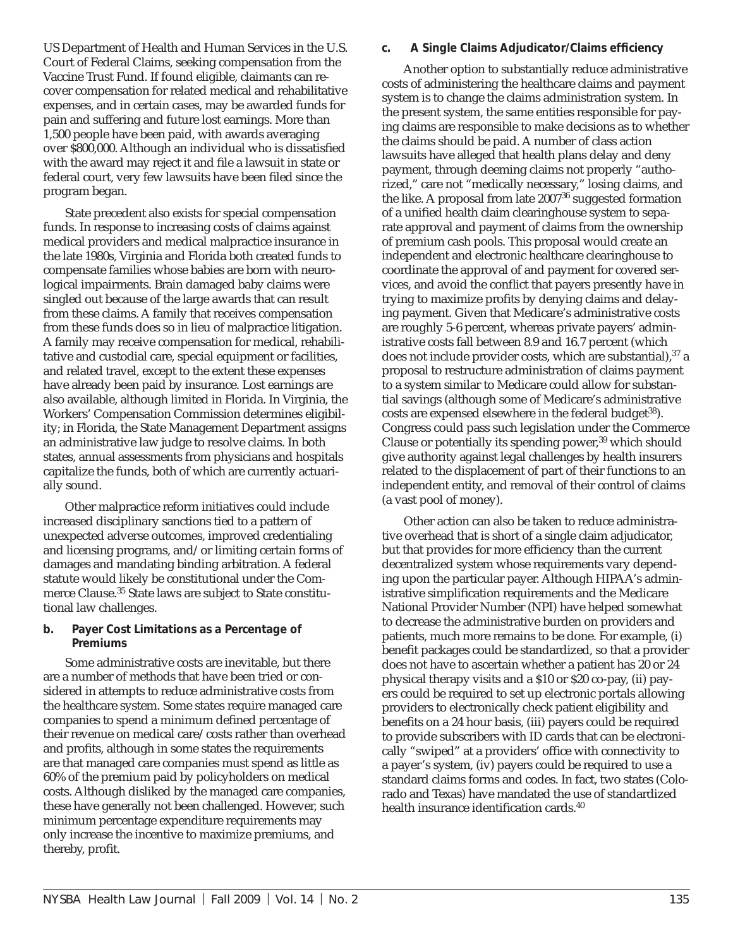US Department of Health and Human Services in the U.S. Court of Federal Claims, seeking compensation from the Vaccine Trust Fund. If found eligible, claimants can recover compensation for related medical and rehabilitative expenses, and in certain cases, may be awarded funds for pain and suffering and future lost earnings. More than 1,500 people have been paid, with awards averaging over \$800,000. Although an individual who is dissatisfied with the award may reject it and file a lawsuit in state or federal court, very few lawsuits have been filed since the program began.

State precedent also exists for special compensation funds. In response to increasing costs of claims against medical providers and medical malpractice insurance in the late 1980s, Virginia and Florida both created funds to compensate families whose babies are born with neurological impairments. Brain damaged baby claims were singled out because of the large awards that can result from these claims. A family that receives compensation from these funds does so in lieu of malpractice litigation. A family may receive compensation for medical, rehabilitative and custodial care, special equipment or facilities, and related travel, except to the extent these expenses have already been paid by insurance. Lost earnings are also available, although limited in Florida. In Virginia, the Workers' Compensation Commission determines eligibility; in Florida, the State Management Department assigns an administrative law judge to resolve claims. In both states, annual assessments from physicians and hospitals capitalize the funds, both of which are currently actuarially sound.

Other malpractice reform initiatives could include increased disciplinary sanctions tied to a pattern of unexpected adverse outcomes, improved credentialing and licensing programs, and/or limiting certain forms of damages and mandating binding arbitration. A federal statute would likely be constitutional under the Commerce Clause.35 State laws are subject to State constitutional law challenges.

#### **b. Payer Cost Limitations as a Percentage of Premiums**

Some administrative costs are inevitable, but there are a number of methods that have been tried or considered in attempts to reduce administrative costs from the healthcare system. Some states require managed care companies to spend a minimum defined percentage of their revenue on medical care/costs rather than overhead and profits, although in some states the requirements are that managed care companies must spend as little as 60% of the premium paid by policyholders on medical costs. Although disliked by the managed care companies, these have generally not been challenged. However, such minimum percentage expenditure requirements may only increase the incentive to maximize premiums, and thereby, profit.

#### c. A Single Claims Adjudicator/Claims efficiency

Another option to substantially reduce administrative costs of administering the healthcare claims and payment system is to change the claims administration system. In the present system, the same entities responsible for paying claims are responsible to make decisions as to whether the claims should be paid. A number of class action lawsuits have alleged that health plans delay and deny payment, through deeming claims not properly "authorized," care not "medically necessary," losing claims, and the like. A proposal from late  $2007^{36}$  suggested formation of a unified health claim clearinghouse system to separate approval and payment of claims from the ownership of premium cash pools. This proposal would create an independent and electronic healthcare clearinghouse to coordinate the approval of and payment for covered services, and avoid the conflict that payers presently have in trying to maximize profits by denying claims and delaying payment. Given that Medicare's administrative costs are roughly 5-6 percent, whereas private payers' administrative costs fall between 8.9 and 16.7 percent (which does not include provider costs, which are substantial), 37 a proposal to restructure administration of claims payment to a system similar to Medicare could allow for substantial savings (although some of Medicare's administrative costs are expensed elsewhere in the federal budget<sup>38</sup>). Congress could pass such legislation under the Commerce Clause or potentially its spending power,  $39$  which should give authority against legal challenges by health insurers related to the displacement of part of their functions to an independent entity, and removal of their control of claims (a vast pool of money).

Other action can also be taken to reduce administrative overhead that is short of a single claim adjudicator, but that provides for more efficiency than the current decentralized system whose requirements vary depending upon the particular payer. Although HIPAA's administrative simplification requirements and the Medicare National Provider Number (NPI) have helped somewhat to decrease the administrative burden on providers and patients, much more remains to be done. For example, (i) benefit packages could be standardized, so that a provider does not have to ascertain whether a patient has 20 or 24 physical therapy visits and a \$10 or \$20 co-pay, (ii) payers could be required to set up electronic portals allowing providers to electronically check patient eligibility and benefits on a 24 hour basis, (iii) payers could be required to provide subscribers with ID cards that can be electronically "swiped" at a providers' office with connectivity to a payer's system, (iv) payers could be required to use a standard claims forms and codes. In fact, two states (Colorado and Texas) have mandated the use of standardized health insurance identification cards. $40$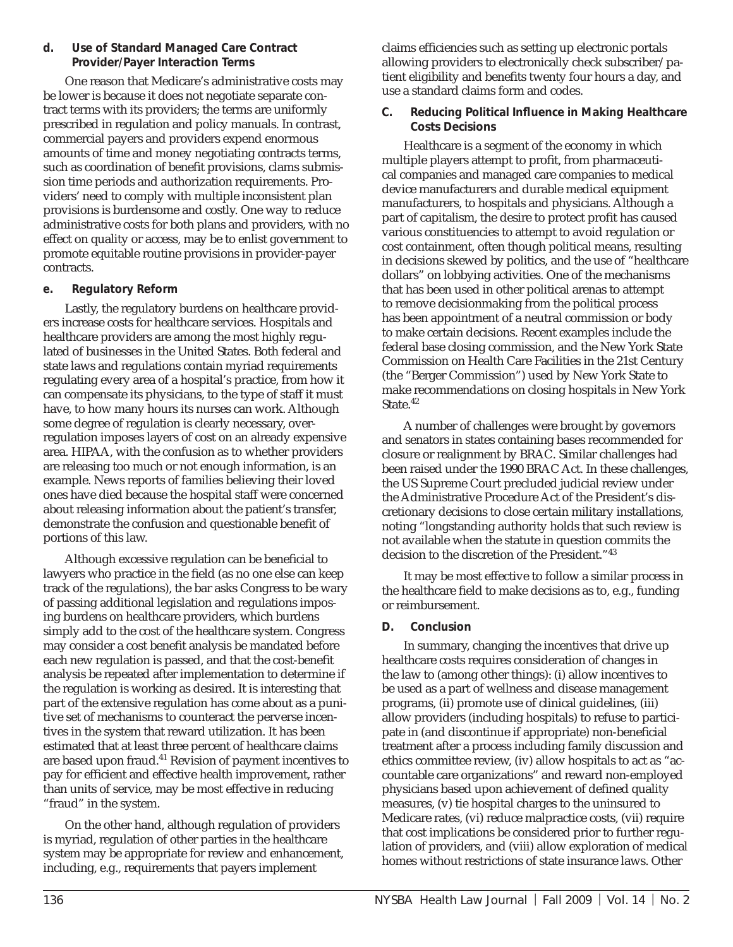#### **d. Use of Standard Managed Care Contract Provider/Payer Interaction Terms**

One reason that Medicare's administrative costs may be lower is because it does not negotiate separate contract terms with its providers; the terms are uniformly prescribed in regulation and policy manuals. In contrast, commercial payers and providers expend enormous amounts of time and money negotiating contracts terms, such as coordination of benefit provisions, clams submission time periods and authorization requirements. Providers' need to comply with multiple inconsistent plan provisions is burdensome and costly. One way to reduce administrative costs for both plans and providers, with no effect on quality or access, may be to enlist government to promote equitable routine provisions in provider-payer contracts.

## **e. Regulatory Reform**

Lastly, the regulatory burdens on healthcare providers increase costs for healthcare services. Hospitals and healthcare providers are among the most highly regulated of businesses in the United States. Both federal and state laws and regulations contain myriad requirements regulating every area of a hospital's practice, from how it can compensate its physicians, to the type of staff it must have, to how many hours its nurses can work. Although some degree of regulation is clearly necessary, overregulation imposes layers of cost on an already expensive area. HIPAA, with the confusion as to whether providers are releasing too much or not enough information, is an example. News reports of families believing their loved ones have died because the hospital staff were concerned about releasing information about the patient's transfer, demonstrate the confusion and questionable benefit of portions of this law.

Although excessive regulation can be beneficial to lawyers who practice in the field (as no one else can keep track of the regulations), the bar asks Congress to be wary of passing additional legislation and regulations imposing burdens on healthcare providers, which burdens simply add to the cost of the healthcare system. Congress may consider a cost benefit analysis be mandated before each new regulation is passed, and that the cost-benefit analysis be repeated after implementation to determine if the regulation is working as desired. It is interesting that part of the extensive regulation has come about as a punitive set of mechanisms to counteract the perverse incentives in the system that reward utilization. It has been estimated that at least three percent of healthcare claims are based upon fraud.41 Revision of payment incentives to pay for efficient and effective health improvement, rather than units of service, may be most effective in reducing "fraud" in the system.

On the other hand, although regulation of providers is myriad, regulation of other parties in the healthcare system may be appropriate for review and enhancement, including, e.g., requirements that payers implement

claims efficiencies such as setting up electronic portals allowing providers to electronically check subscriber/patient eligibility and benefits twenty four hours a day, and use a standard claims form and codes.

#### **C.** Reducing Political Influence in Making Healthcare **Costs Decisions**

Healthcare is a segment of the economy in which multiple players attempt to profit, from pharmaceutical companies and managed care companies to medical device manufacturers and durable medical equipment manufacturers, to hospitals and physicians. Although a part of capitalism, the desire to protect profit has caused various constituencies to attempt to avoid regulation or cost containment, often though political means, resulting in decisions skewed by politics, and the use of "healthcare dollars" on lobbying activities. One of the mechanisms that has been used in other political arenas to attempt to remove decisionmaking from the political process has been appointment of a neutral commission or body to make certain decisions. Recent examples include the federal base closing commission, and the New York State Commission on Health Care Facilities in the 21st Century (the "Berger Commission") used by New York State to make recommendations on closing hospitals in New York State.<sup>42</sup>

A number of challenges were brought by governors and senators in states containing bases recommended for closure or realignment by BRAC. Similar challenges had been raised under the 1990 BRAC Act. In these challenges, the US Supreme Court precluded judicial review under the Administrative Procedure Act of the President's discretionary decisions to close certain military installations, noting "longstanding authority holds that such review is not available when the statute in question commits the decision to the discretion of the President."43

It may be most effective to follow a similar process in the healthcare field to make decisions as to, e.g., funding or reimbursement.

## **D. Conclusion**

In summary, changing the incentives that drive up healthcare costs requires consideration of changes in the law to (among other things): (i) allow incentives to be used as a part of wellness and disease management programs, (ii) promote use of clinical guidelines, (iii) allow providers (including hospitals) to refuse to participate in (and discontinue if appropriate) non-beneficial treatment after a process including family discussion and ethics committee review, (iv) allow hospitals to act as "accountable care organizations" and reward non-employed physicians based upon achievement of defined quality measures, (v) tie hospital charges to the uninsured to Medicare rates, (vi) reduce malpractice costs, (vii) require that cost implications be considered prior to further regulation of providers, and (viii) allow exploration of medical homes without restrictions of state insurance laws. Other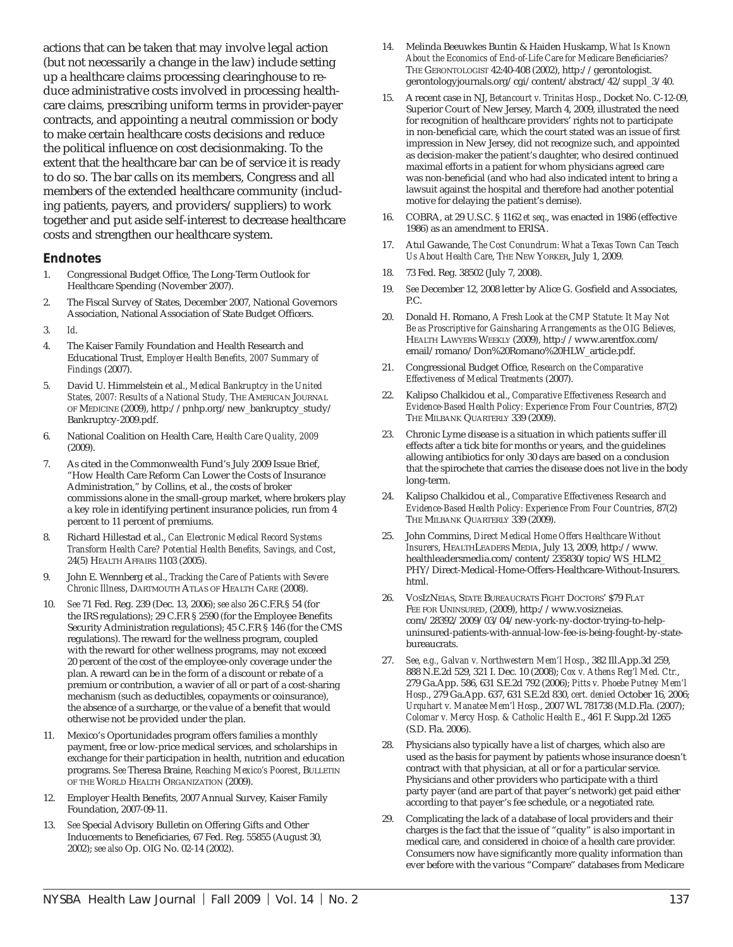actions that can be taken that may involve legal action (but not necessarily a change in the law) include setting up a healthcare claims processing clearinghouse to reduce administrative costs involved in processing healthcare claims, prescribing uniform terms in provider-payer contracts, and appointing a neutral commission or body to make certain healthcare costs decisions and reduce the political influence on cost decision making. To the extent that the healthcare bar can be of service it is ready to do so. The bar calls on its members, Congress and all members of the extended healthcare community (including patients, payers, and providers/suppliers) to work together and put aside self-interest to decrease healthcare costs and strengthen our healthcare system.

#### **Endnotes**

- 1. Congressional Budget Office, The Long-Term Outlook for Healthcare Spending (November 2007).
- 2. The Fiscal Survey of States, December 2007, National Governors Association, National Association of State Budget Officers.
- 3. *Id*.
- 4. The Kaiser Family Foundation and Health Research and Educational Trust, Employer Health Benefits, 2007 Summary of *Findings* (2007).
- 5. David U. Himmelstein et al., *Medical Bankruptcy in the United States, 2007: Results of a National Study,* THE AMERICAN JOURNAL OF MEDICINE (2009), http://pnhp.org/new\_bankruptcy\_study/ Bankruptcy-2009.pdf.
- 6. National Coalition on Health Care, *Health Care Quality, 2009* (2009).
- 7. As cited in the Commonwealth Fund's July 2009 Issue Brief, "How Health Care Reform Can Lower the Costs of Insurance Administration," by Collins, et al., the costs of broker commissions alone in the small-group market, where brokers play a key role in identifying pertinent insurance policies, run from 4 percent to 11 percent of premiums.
- 8. Richard Hillestad et al., *Can Electronic Medical Record Systems Transform Health Care? Potential Health Benefi ts, Savings, and Cost*, 24(5) HEALTH AFFAIRS 1103 (2005).
- 9. John E. Wennberg et al., *Tracking the Care of Patients with Severe Chronic Illness*, DARTMOUTH ATLAS OF HEALTH CARE (2008).
- 10. *See* 71 Fed. Reg. 239 (Dec. 13, 2006); *see also* 26 C.F.R.§ 54 (for the IRS regulations); 29 C.F.R § 2590 (for the Employee Benefits Security Administration regulations); 45 C.F.R § 146 (for the CMS regulations). The reward for the wellness program, coupled with the reward for other wellness programs, may not exceed 20 percent of the cost of the employee-only coverage under the plan. A reward can be in the form of a discount or rebate of a premium or contribution, a wavier of all or part of a cost-sharing mechanism (such as deductibles, copayments or coinsurance), the absence of a surcharge, or the value of a benefit that would otherwise not be provided under the plan.
- 11. Mexico's Oportunidades program offers families a monthly payment, free or low-price medical services, and scholarships in exchange for their participation in health, nutrition and education programs. *See* Theresa Braine, *Reaching Mexico's Poorest*, BULLETIN OF THE WORLD HEALTH ORGANIZATION (2009).
- 12. Employer Health Benefits, 2007 Annual Survey, Kaiser Family Foundation, 2007-09-11.
- 13. *See* Special Advisory Bulletin on Offering Gifts and Other Inducements to Beneficiaries, 67 Fed. Reg. 55855 (August 30, 2002); *see also* Op. OIG No. 02-14 (2002).
- 14. Melinda Beeuwkes Buntin & Haiden Huskamp, *What Is Known*  About the Economics of End-of-Life Care for Medicare Beneficiaries? THE GERONTOLOGIST 42:40-408 (2002), http://gerontologist. gerontologyjournals.org/cgi/content/abstract/42/suppl\_3/40.
- 15. A recent case in NJ, *Betancourt v. Trinitas Hosp*., Docket No. C-12-09, Superior Court of New Jersey, March 4, 2009, illustrated the need for recognition of healthcare providers' rights not to participate in non-beneficial care, which the court stated was an issue of first impression in New Jersey, did not recognize such, and appointed as decision-maker the patient's daughter, who desired continued maximal efforts in a patient for whom physicians agreed care was non-beneficial (and who had also indicated intent to bring a lawsuit against the hospital and therefore had another potential motive for delaying the patient's demise).
- 16. COBRA, at 29 U.S.C. § 1162 *et seq*., was enacted in 1986 (effective 1986) as an amendment to ERISA.
- 17. Atul Gawande, *The Cost Conundrum: What a Texas Town Can Teach Us About Health Care*, THE NEW YORKER, July 1, 2009.
- 18. 73 Fed. Reg. 38502 (July 7, 2008).
- 19. See December 12, 2008 letter by Alice G. Gosfield and Associates, P.C.
- 20. Donald H. Romano, *A Fresh Look at the CMP Statute: It May Not Be as Proscriptive for Gainsharing Arrangements as the OIG Believes,*  HEALTH LAWYERS WEEKLY (2009), http://www.arentfox.com/ email/romano/Don%20Romano%20HLW\_article.pdf.
- 21. Congressional Budget Office, *Research on the Comparative Effectiveness of Medical Treatments* (2007).
- 22. Kalipso Chalkidou et al., *Comparative Effectiveness Research and Evidence-Based Health Policy: Experience From Four Countries*, 87(2) THE MILBANK QUARTERLY 339 (2009).
- 23. Chronic Lyme disease is a situation in which patients suffer ill effects after a tick bite for months or years, and the guidelines allowing antibiotics for only 30 days are based on a conclusion that the spirochete that carries the disease does not live in the body long-term.
- 24. Kalipso Chalkidou et al., *Comparative Effectiveness Research and Evidence-Based Health Policy: Experience From Four Countries*, 87(2) THE MILBANK QUARTERLY 339 (2009).
- 25. John Commins, *Direct Medical Home Offers Healthcare Without Insurers*, HEALTHLEADERS MEDIA, July 13, 2009, http://www. healthleadersmedia.com/content/235830/topic/WS\_HLM2\_ PHY/Direct-Medical-Home-Offers-Healthcare-Without-Insurers. html.
- 26. VOSIZNEIAS, STATE BUREAUCRATS FIGHT DOCTORS' \$79 FLAT FEE FOR UNINSURED, (2009), http://www.vosizneias. com/28392/2009/03/04/new-york-ny-doctor-trying-to-helpuninsured-patients-with-annual-low-fee-is-being-fought-by-statebureaucrats.
- 27. *See, e.g., Galvan v. Northwestern Mem'l Hosp.*, 382 Ill.App.3d 259, 888 N.E.2d 529, 321 I. Dec. 10 (2008); *Cox v. Athens Reg'l Med. Ctr.*, 279 Ga.App. 586, 631 S.E.2d 792 (2006); *Pitts v. Phoebe Putney Mem'l Hosp.*, 279 Ga.App. 637, 631 S.E.2d 830, *cert. denied* October 16, 2006; *Urquhart v. Manatee Mem'l Hosp.*, 2007 WL 781738 (M.D.Fla. (2007); *Colomar v. Mercy Hosp. & Catholic Health E*., 461 F. Supp.2d 1265 (S.D. Fla. 2006).
- 28. Physicians also typically have a list of charges, which also are used as the basis for payment by patients whose insurance doesn't contract with that physician, at all or for a particular service. Physicians and other providers who participate with a third party payer (and are part of that payer's network) get paid either according to that payer's fee schedule, or a negotiated rate.
- 29. Complicating the lack of a database of local providers and their charges is the fact that the issue of "quality" is also important in medical care, and considered in choice of a health care provider. Consumers now have significantly more quality information than ever before with the various "Compare" databases from Medicare